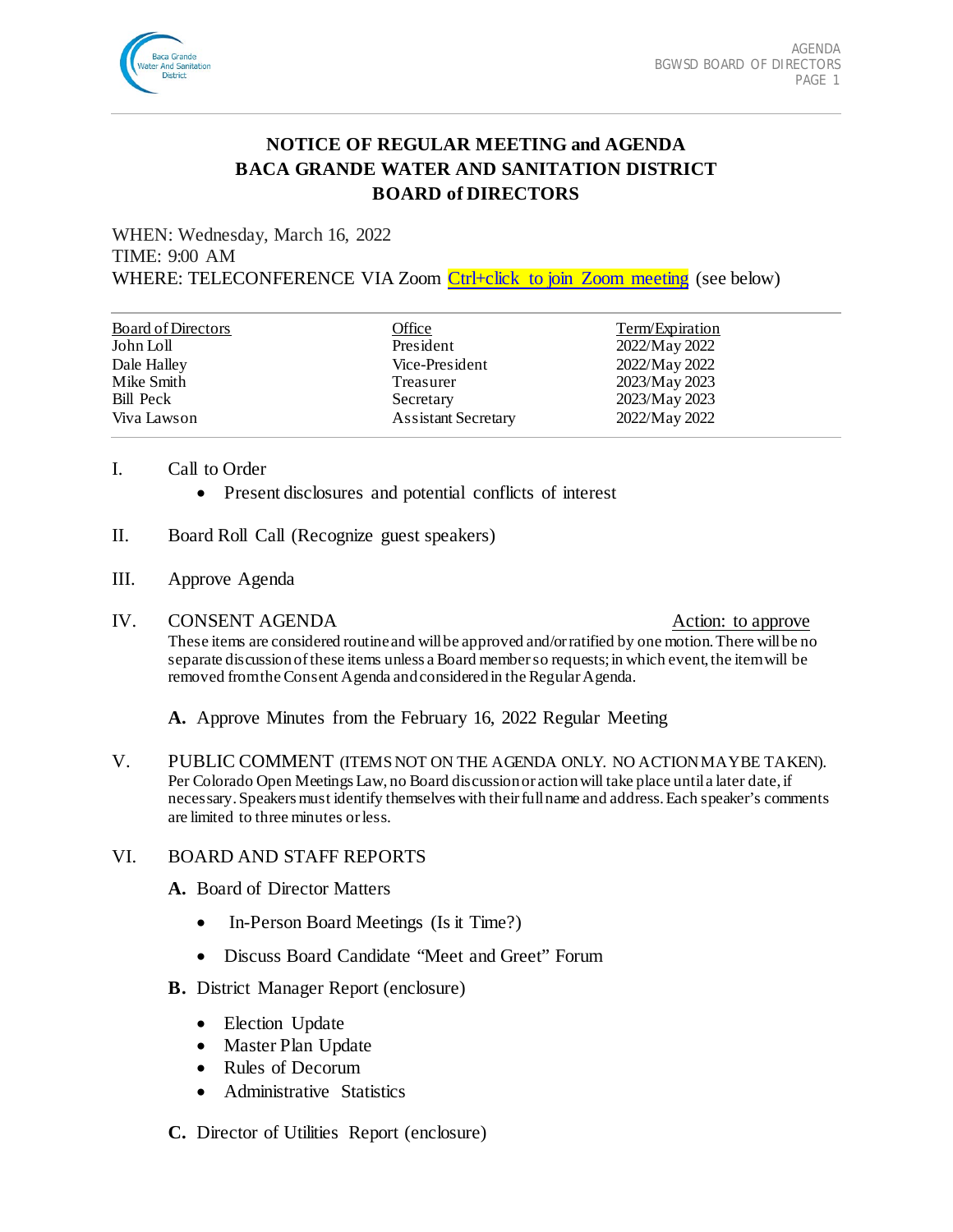

# **NOTICE OF REGULAR MEETING and AGENDA BACA GRANDE WATER AND SANITATION DISTRICT BOARD of DIRECTORS**

WHEN: Wednesday, March 16, 2022 TIME: 9:00 AM WHERE: TELECONFERENCE VIA Zoom [Ctrl+click to join Zoom meeting](https://us02web.zoom.us/j/87269124750?pwd=ZmZVcTd2Y0UycW0vRmFWNS9wTU5WQT09) (see below)

| <b>Board of Directors</b> | Office                     | Term/Expiration |
|---------------------------|----------------------------|-----------------|
| John Loll                 | President                  | 2022/May 2022   |
| Dale Halley               | Vice-President             | 2022/May 2022   |
| Mike Smith                | Treasurer                  | 2023/May 2023   |
| Bill Peck                 | Secretary                  | 2023/May 2023   |
| Viva Lawson               | <b>Assistant Secretary</b> | 2022/May 2022   |

#### I. Call to Order

- Present disclosures and potential conflicts of interest
- II. Board Roll Call (Recognize guest speakers)
- III. Approve Agenda
- IV. CONSENT AGENDA Action: to approve

These items are considered routine and will be approved and/or ratified by one motion. There will be no separate discussion of these items unless a Board member so requests; in which event, the item will be removed from the Consent Agenda and considered in the Regular Agenda.

**A.** Approve Minutes from the February 16, 2022 Regular Meeting

V. PUBLIC COMMENT (ITEMS NOT ON THE AGENDA ONLY. NO ACTION MAY BE TAKEN). Per Colorado Open Meetings Law, no Board discussion or action will take place until a later date, if necessary. Speakers must identify themselves with their full name and address.Each speaker's comments are limited to three minutes or less.

# VI. BOARD AND STAFF REPORTS

- **A.** Board of Director Matters
	- In-Person Board Meetings (Is it Time?)
	- Discuss Board Candidate "Meet and Greet" Forum
- **B.** District Manager Report (enclosure)
	- Election Update
	- Master Plan Update
	- Rules of Decorum
	- Administrative Statistics
- **C.** Director of Utilities Report (enclosure)